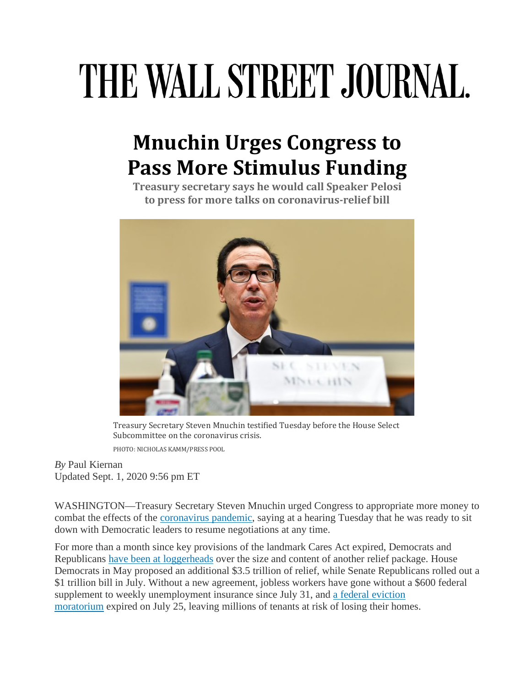## THE WALL STREET JOURNAL.

## **Mnuchin Urges Congress to Pass More Stimulus Funding**

**Treasury secretary says he would call Speaker Pelosi to press for more talks on coronavirus-relief bill**



Treasury Secretary Steven Mnuchin testified Tuesday before the House Select Subcommittee on the coronavirus crisis. PHOTO: NICHOLAS KAMM/PRESS POOL

*By* Paul Kiernan Updated Sept. 1, 2020 9:56 pm ET

WASHINGTON—Treasury Secretary Steven Mnuchin urged Congress to appropriate more money to combat the effects of the [coronavirus pandemic,](https://www.wsj.com/articles/coronavirus-latest-news-09-01-2020-11598946708) saying at a hearing Tuesday that he was ready to sit down with Democratic leaders to resume negotiations at any time.

For more than a month since key provisions of the landmark Cares Act expired, Democrats and Republicans [have been at loggerheads](https://www.wsj.com/articles/coronavirus-relief-how-the-republican-and-democratic-plans-compare-11595934002) over the size and content of another relief package. House Democrats in May proposed an additional \$3.5 trillion of relief, while Senate Republicans rolled out a \$1 trillion bill in July. Without a new agreement, jobless workers have gone without a \$600 federal supplement to weekly unemployment insurance since July 31, and a federal eviction [moratorium](https://www.wsj.com/articles/eviction-looms-for-millions-of-americans-who-cant-afford-rent-11594891802) expired on July 25, leaving millions of tenants at risk of losing their homes.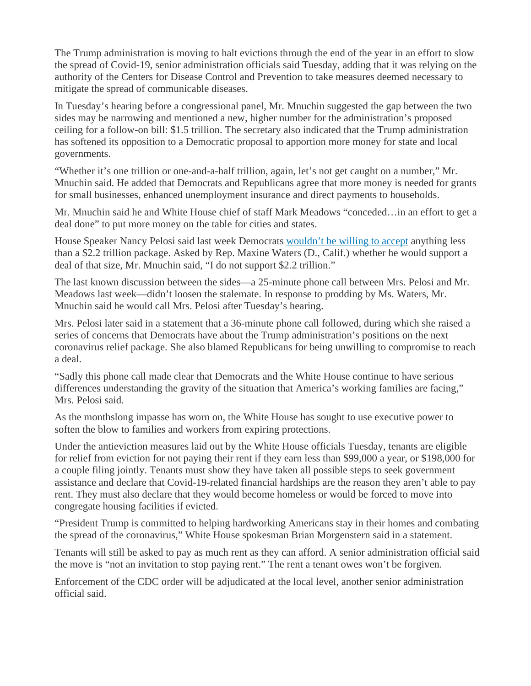The Trump administration is moving to halt evictions through the end of the year in an effort to slow the spread of Covid-19, senior administration officials said Tuesday, adding that it was relying on the authority of the Centers for Disease Control and Prevention to take measures deemed necessary to mitigate the spread of communicable diseases.

In Tuesday's hearing before a congressional panel, Mr. Mnuchin suggested the gap between the two sides may be narrowing and mentioned a new, higher number for the administration's proposed ceiling for a follow-on bill: \$1.5 trillion. The secretary also indicated that the Trump administration has softened its opposition to a Democratic proposal to apportion more money for state and local governments.

"Whether it's one trillion or one-and-a-half trillion, again, let's not get caught on a number," Mr. Mnuchin said. He added that Democrats and Republicans agree that more money is needed for grants for small businesses, enhanced unemployment insurance and direct payments to households.

Mr. Mnuchin said he and White House chief of staff Mark Meadows "conceded…in an effort to get a deal done" to put more money on the table for cities and states.

House Speaker Nancy Pelosi said last week Democrats [wouldn't be willing to accept](https://www.wsj.com/articles/coronavirus-aid-talks-limp-along-between-democrats-white-house-11598561545) anything less than a \$2.2 trillion package. Asked by Rep. Maxine Waters (D., Calif.) whether he would support a deal of that size, Mr. Mnuchin said, "I do not support \$2.2 trillion."

The last known discussion between the sides—a 25-minute phone call between Mrs. Pelosi and Mr. Meadows last week—didn't loosen the stalemate. In response to prodding by Ms. Waters, Mr. Mnuchin said he would call Mrs. Pelosi after Tuesday's hearing.

Mrs. Pelosi later said in a statement that a 36-minute phone call followed, during which she raised a series of concerns that Democrats have about the Trump administration's positions on the next coronavirus relief package. She also blamed Republicans for being unwilling to compromise to reach a deal.

"Sadly this phone call made clear that Democrats and the White House continue to have serious differences understanding the gravity of the situation that America's working families are facing," Mrs. Pelosi said.

As the monthslong impasse has worn on, the White House has sought to use executive power to soften the blow to families and workers from expiring protections.

Under the antieviction measures laid out by the White House officials Tuesday, tenants are eligible for relief from eviction for not paying their rent if they earn less than \$99,000 a year, or \$198,000 for a couple filing jointly. Tenants must show they have taken all possible steps to seek government assistance and declare that Covid-19-related financial hardships are the reason they aren't able to pay rent. They must also declare that they would become homeless or would be forced to move into congregate housing facilities if evicted.

"President Trump is committed to helping hardworking Americans stay in their homes and combating the spread of the coronavirus," White House spokesman Brian Morgenstern said in a statement.

Tenants will still be asked to pay as much rent as they can afford. A senior administration official said the move is "not an invitation to stop paying rent." The rent a tenant owes won't be forgiven.

Enforcement of the CDC order will be adjudicated at the local level, another senior administration official said.